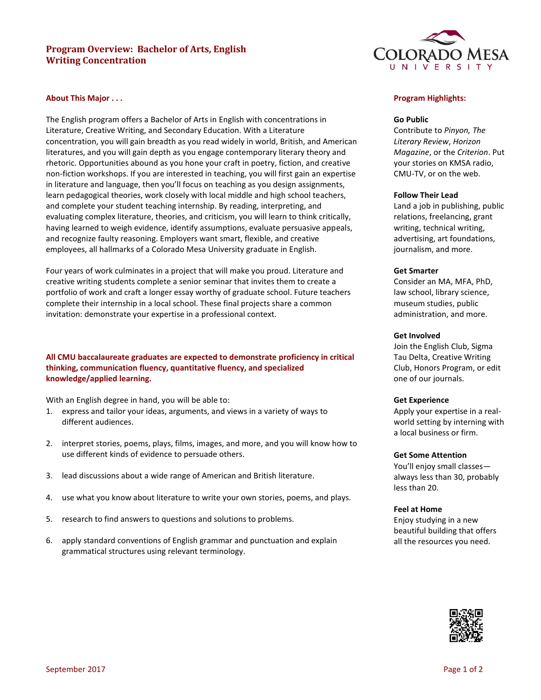# **Program Overview: Bachelor of Arts, English Writing Concentration**



# **About This Major . . .**

The English program offers a Bachelor of Arts in English with concentrations in Literature, Creative Writing, and Secondary Education. With a Literature concentration, you will gain breadth as you read widely in world, British, and American literatures, and you will gain depth as you engage contemporary literary theory and rhetoric. Opportunities abound as you hone your craft in poetry, fiction, and creative non-fiction workshops. If you are interested in teaching, you will first gain an expertise in literature and language, then you'll focus on teaching as you design assignments, learn pedagogical theories, work closely with local middle and high school teachers, and complete your student teaching internship. By reading, interpreting, and evaluating complex literature, theories, and criticism, you will learn to think critically, having learned to weigh evidence, identify assumptions, evaluate persuasive appeals, and recognize faulty reasoning. Employers want smart, flexible, and creative employees, all hallmarks of a Colorado Mesa University graduate in English.

Four years of work culminates in a project that will make you proud. Literature and creative writing students complete a senior seminar that invites them to create a portfolio of work and craft a longer essay worthy of graduate school. Future teachers complete their internship in a local school. These final projects share a common invitation: demonstrate your expertise in a professional context.

# **All CMU baccalaureate graduates are expected to demonstrate proficiency in critical thinking, communication fluency, quantitative fluency, and specialized knowledge/applied learning.**

With an English degree in hand, you will be able to:

- 1. express and tailor your ideas, arguments, and views in a variety of ways to different audiences.
- 2. interpret stories, poems, plays, films, images, and more, and you will know how to use different kinds of evidence to persuade others.
- 3. lead discussions about a wide range of American and British literature.
- 4. use what you know about literature to write your own stories, poems, and plays.
- 5. research to find answers to questions and solutions to problems.
- 6. apply standard conventions of English grammar and punctuation and explain grammatical structures using relevant terminology.

### **Program Highlights:**

### **Go Public**

Contribute to *Pinyon, The Literary Review*, *Horizon Magazine*, or the *Criterion*. Put your stories on KMSA radio, CMU-TV, or on the web.

### **Follow Their Lead**

Land a job in publishing, public relations, freelancing, grant writing, technical writing, advertising, art foundations, journalism, and more.

### **Get Smarter**

Consider an MA, MFA, PhD, law school, library science, museum studies, public administration, and more.

#### **Get Involved**

Join the English Club, Sigma Tau Delta, Creative Writing Club, Honors Program, or edit one of our journals.

#### **Get Experience**

Apply your expertise in a realworld setting by interning with a local business or firm.

### **Get Some Attention**

You'll enjoy small classes always less than 30, probably less than 20.

#### **Feel at Home**

Enjoy studying in a new beautiful building that offers all the resources you need.